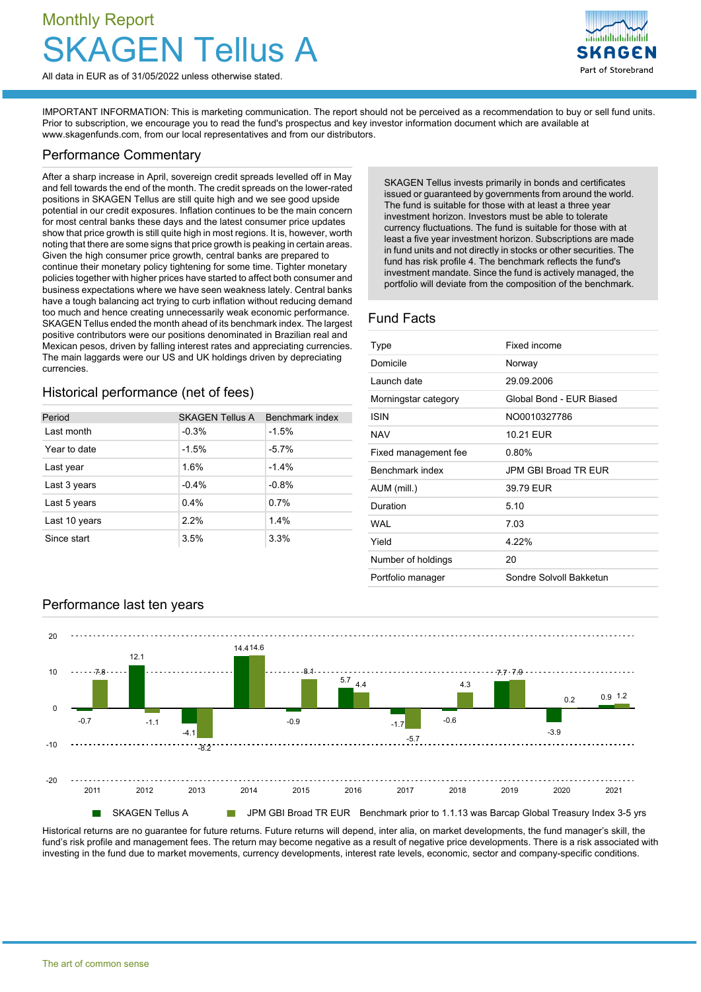# Monthly Report Tellus A



IMPORTANT INFORMATION: This is marketing communication. The report should not be perceived as a recommendation to buy or sell fund units. Prior to subscription, we encourage you to read the fund's prospectus and key investor information document which are available at [www.skagenfunds.com](http://www.skagenfunds.com), from our local representatives and from our distributors.

### Performance Commentary

After a sharp increase in April, sovereign credit spreads levelled off in May and fell towards the end of the month. The credit spreads on the lower-rated positions in SKAGEN Tellus are still quite high and we see good upside potential in our credit exposures. Inflation continues to be the main concern for most central banks these days and the latest consumer price updates show that price growth is still quite high in most regions. It is, however, worth noting that there are some signs that price growth is peaking in certain areas. Given the high consumer price growth, central banks are prepared to continue their monetary policy tightening for some time. Tighter monetary policies together with higher prices have started to affect both consumer and business expectations where we have seen weakness lately. Central banks have a tough balancing act trying to curb inflation without reducing demand too much and hence creating unnecessarily weak economic performance. SKAGEN Tellus ended the month ahead of its benchmark index. The largest positive contributors were our positions denominated in Brazilian real and Mexican pesos, driven by falling interest rates and appreciating currencies. The main laggards were our US and UK holdings driven by depreciating currencies.

# Historical performance (net of fees)

| Period        | <b>SKAGEN Tellus A</b> | Benchmark index |
|---------------|------------------------|-----------------|
| Last month    | $-0.3%$                | $-1.5%$         |
| Year to date  | $-1.5%$                | $-5.7%$         |
| Last year     | 1.6%                   | $-1.4%$         |
| Last 3 years  | $-0.4%$                | $-0.8%$         |
| Last 5 years  | 0.4%                   | 0.7%            |
| Last 10 years | 2.2%                   | 1.4%            |
| Since start   | 3.5%                   | 3.3%            |

SKAGEN Tellus invests primarily in bonds and certificates issued or guaranteed by governments from around the world. The fund is suitable for those with at least a three year investment horizon. Investors must be able to tolerate currency fluctuations. The fund is suitable for those with at least a five year investment horizon. Subscriptions are made in fund units and not directly in stocks or other securities. The fund has risk profile 4. The benchmark reflects the fund's investment mandate. Since the fund is actively managed, the portfolio will deviate from the composition of the benchmark.

Part of Storebrand

## Fund Facts

| Type                   | Fixed income             |  |
|------------------------|--------------------------|--|
|                        |                          |  |
| Domicile               | Norway                   |  |
| Launch date            | 29.09.2006               |  |
| Morningstar category   | Global Bond - EUR Biased |  |
| <b>ISIN</b>            | NO0010327786             |  |
| <b>NAV</b>             | 10 21 FUR                |  |
| Fixed management fee   | $0.80\%$                 |  |
| <b>Benchmark index</b> | JPM GBI Broad TR FUR     |  |
| AUM (mill.)            | 39.79 EUR                |  |
| Duration               | 5.10                     |  |
| WAI                    | 7.03                     |  |
| Yield                  | 4 22%                    |  |
| Number of holdings     | 20                       |  |
| Portfolio manager      | Sondre Solvoll Bakketun  |  |
|                        |                          |  |



Historical returns are no guarantee for future returns. Future returns will depend, inter alia, on market developments, the fund manager's skill, the fund's risk profile and management fees. The return may become negative as a result of negative price developments. There is a risk associated with investing in the fund due to market movements, currency developments, interest rate levels, economic, sector and company-specific conditions.

Performance last ten years